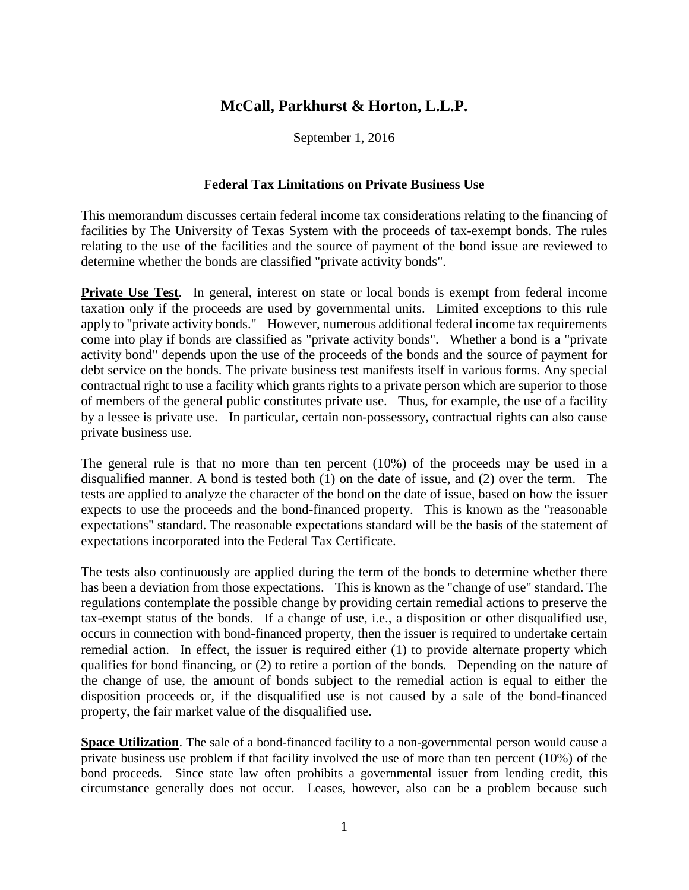## **McCall, Parkhurst & Horton, L.L.P.**

September 1, 2016

## **Federal Tax Limitations on Private Business Use**

This memorandum discusses certain federal income tax considerations relating to the financing of facilities by The University of Texas System with the proceeds of tax-exempt bonds. The rules relating to the use of the facilities and the source of payment of the bond issue are reviewed to determine whether the bonds are classified "private activity bonds".

**Private Use Test**. In general, interest on state or local bonds is exempt from federal income taxation only if the proceeds are used by governmental units. Limited exceptions to this rule apply to "private activity bonds." However, numerous additional federal income tax requirements come into play if bonds are classified as "private activity bonds". Whether a bond is a "private activity bond" depends upon the use of the proceeds of the bonds and the source of payment for debt service on the bonds. The private business test manifests itself in various forms. Any special contractual right to use a facility which grants rights to a private person which are superior to those of members of the general public constitutes private use. Thus, for example, the use of a facility by a lessee is private use. In particular, certain non-possessory, contractual rights can also cause private business use.

The general rule is that no more than ten percent (10%) of the proceeds may be used in a disqualified manner. A bond is tested both (1) on the date of issue, and (2) over the term. The tests are applied to analyze the character of the bond on the date of issue, based on how the issuer expects to use the proceeds and the bond-financed property. This is known as the "reasonable expectations" standard. The reasonable expectations standard will be the basis of the statement of expectations incorporated into the Federal Tax Certificate.

The tests also continuously are applied during the term of the bonds to determine whether there has been a deviation from those expectations. This is known as the "change of use" standard. The regulations contemplate the possible change by providing certain remedial actions to preserve the tax-exempt status of the bonds. If a change of use, i.e., a disposition or other disqualified use, occurs in connection with bond-financed property, then the issuer is required to undertake certain remedial action. In effect, the issuer is required either (1) to provide alternate property which qualifies for bond financing, or (2) to retire a portion of the bonds. Depending on the nature of the change of use, the amount of bonds subject to the remedial action is equal to either the disposition proceeds or, if the disqualified use is not caused by a sale of the bond-financed property, the fair market value of the disqualified use.

**Space Utilization**. The sale of a bond-financed facility to a non-governmental person would cause a private business use problem if that facility involved the use of more than ten percent (10%) of the bond proceeds. Since state law often prohibits a governmental issuer from lending credit, this circumstance generally does not occur. Leases, however, also can be a problem because such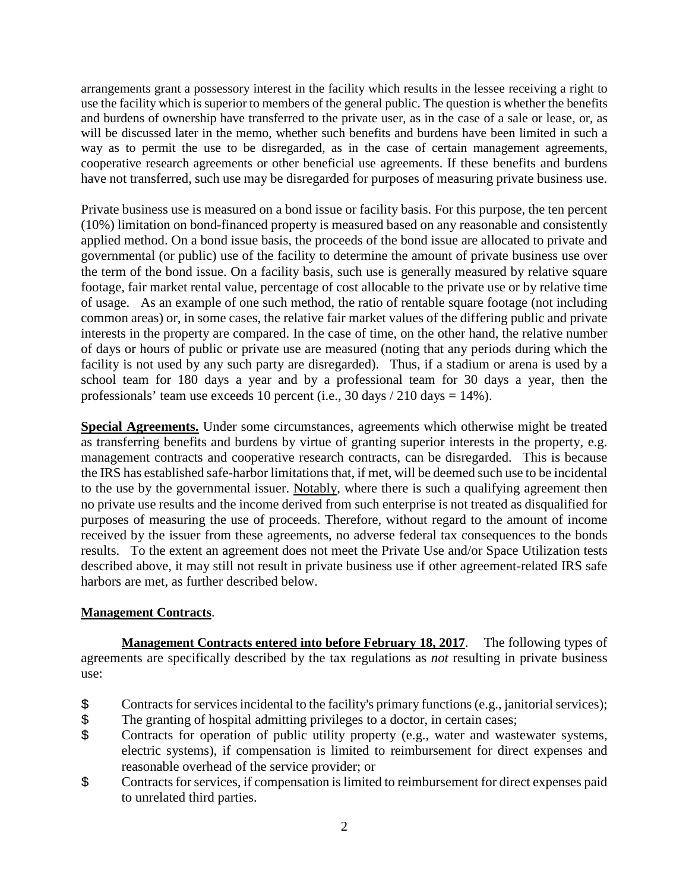arrangements grant a possessory interest in the facility which results in the lessee receiving a right to use the facility which is superior to members of the general public. The question is whether the benefits and burdens of ownership have transferred to the private user, as in the case of a sale or lease, or, as will be discussed later in the memo, whether such benefits and burdens have been limited in such a way as to permit the use to be disregarded, as in the case of certain management agreements, cooperative research agreements or other beneficial use agreements. If these benefits and burdens have not transferred, such use may be disregarded for purposes of measuring private business use.

Private business use is measured on a bond issue or facility basis. For this purpose, the ten percent (10%) limitation on bond-financed property is measured based on any reasonable and consistently applied method. On a bond issue basis, the proceeds of the bond issue are allocated to private and governmental (or public) use of the facility to determine the amount of private business use over the term of the bond issue. On a facility basis, such use is generally measured by relative square footage, fair market rental value, percentage of cost allocable to the private use or by relative time of usage. As an example of one such method, the ratio of rentable square footage (not including common areas) or, in some cases, the relative fair market values of the differing public and private interests in the property are compared. In the case of time, on the other hand, the relative number of days or hours of public or private use are measured (noting that any periods during which the facility is not used by any such party are disregarded). Thus, if a stadium or arena is used by a school team for 180 days a year and by a professional team for 30 days a year, then the professionals' team use exceeds 10 percent (i.e., 30 days / 210 days =  $14\%$ ).

**Special Agreements.** Under some circumstances, agreements which otherwise might be treated as transferring benefits and burdens by virtue of granting superior interests in the property, e.g. management contracts and cooperative research contracts, can be disregarded. This is because the IRS has established safe-harbor limitations that, if met, will be deemed such use to be incidental to the use by the governmental issuer. Notably, where there is such a qualifying agreement then no private use results and the income derived from such enterprise is not treated as disqualified for purposes of measuring the use of proceeds. Therefore, without regard to the amount of income received by the issuer from these agreements, no adverse federal tax consequences to the bonds results. To the extent an agreement does not meet the Private Use and/or Space Utilization tests described above, it may still not result in private business use if other agreement-related IRS safe harbors are met, as further described below.

## **Management Contracts**.

**Management Contracts entered into before February 18, 2017**. The following types of agreements are specifically described by the tax regulations as *not* resulting in private business use:

- $\frac{1}{5}$  Contracts for services incidental to the facility's primary functions (e.g., janitorial services);<br>  $\frac{1}{5}$  The granting of hospital admitting privileges to a doctor, in certain cases;
- \$ The granting of hospital admitting privileges to a doctor, in certain cases;<br>\$ Contracts for operation of public utility property (e.g., water and wast
- Contracts for operation of public utility property (e.g., water and wastewater systems, electric systems), if compensation is limited to reimbursement for direct expenses and reasonable overhead of the service provider; or
- \$ Contracts for services, if compensation is limited to reimbursement for direct expenses paid to unrelated third parties.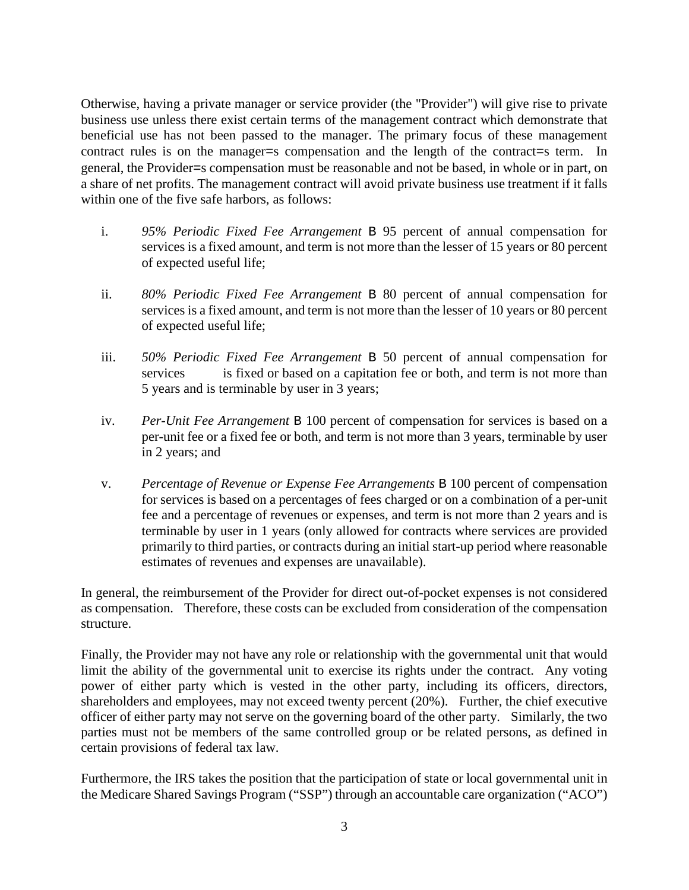Otherwise, having a private manager or service provider (the "Provider") will give rise to private business use unless there exist certain terms of the management contract which demonstrate that beneficial use has not been passed to the manager. The primary focus of these management contract rules is on the manager=s compensation and the length of the contract=s term. In general, the Provider=s compensation must be reasonable and not be based, in whole or in part, on a share of net profits. The management contract will avoid private business use treatment if it falls within one of the five safe harbors, as follows:

- i. *95% Periodic Fixed Fee Arrangement* B 95 percent of annual compensation for services is a fixed amount, and term is not more than the lesser of 15 years or 80 percent of expected useful life;
- ii. *80% Periodic Fixed Fee Arrangement* B 80 percent of annual compensation for services is a fixed amount, and term is not more than the lesser of 10 years or 80 percent of expected useful life;
- iii. *50% Periodic Fixed Fee Arrangement* B 50 percent of annual compensation for services is fixed or based on a capitation fee or both, and term is not more than 5 years and is terminable by user in 3 years;
- iv. *Per-Unit Fee Arrangement* B 100 percent of compensation for services is based on a per-unit fee or a fixed fee or both, and term is not more than 3 years, terminable by user in 2 years; and
- v. *Percentage of Revenue or Expense Fee Arrangements* B 100 percent of compensation for services is based on a percentages of fees charged or on a combination of a per-unit fee and a percentage of revenues or expenses, and term is not more than 2 years and is terminable by user in 1 years (only allowed for contracts where services are provided primarily to third parties, or contracts during an initial start-up period where reasonable estimates of revenues and expenses are unavailable).

In general, the reimbursement of the Provider for direct out-of-pocket expenses is not considered as compensation. Therefore, these costs can be excluded from consideration of the compensation structure.

Finally, the Provider may not have any role or relationship with the governmental unit that would limit the ability of the governmental unit to exercise its rights under the contract. Any voting power of either party which is vested in the other party, including its officers, directors, shareholders and employees, may not exceed twenty percent (20%). Further, the chief executive officer of either party may not serve on the governing board of the other party. Similarly, the two parties must not be members of the same controlled group or be related persons, as defined in certain provisions of federal tax law.

Furthermore, the IRS takes the position that the participation of state or local governmental unit in the Medicare Shared Savings Program ("SSP") through an accountable care organization ("ACO")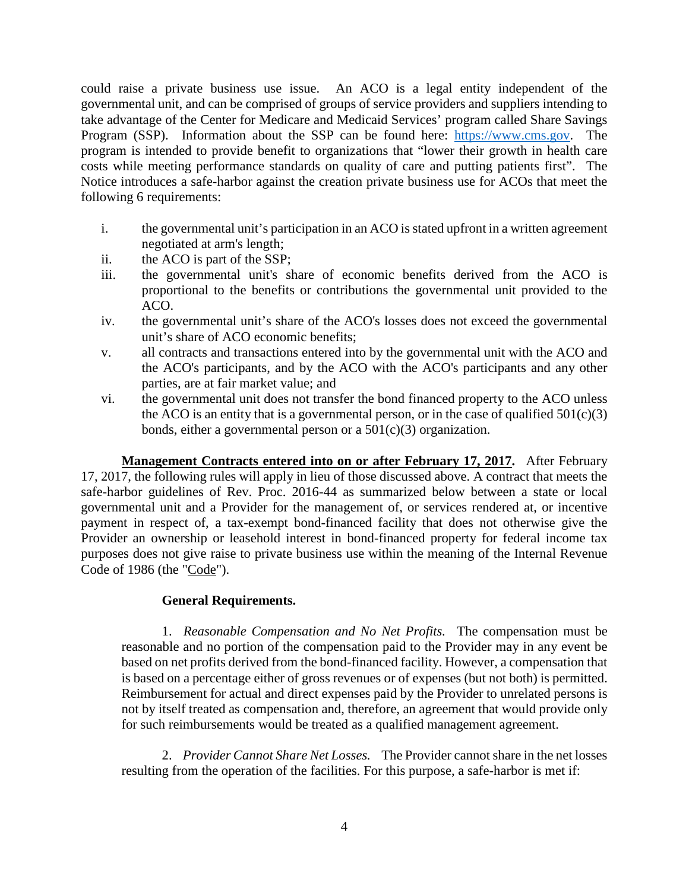could raise a private business use issue. An ACO is a legal entity independent of the governmental unit, and can be comprised of groups of service providers and suppliers intending to take advantage of the Center for Medicare and Medicaid Services' program called Share Savings Program (SSP). Information about the SSP can be found here: [https://www.cms.gov.](https://www.cms.gov/) The program is intended to provide benefit to organizations that "lower their growth in health care costs while meeting performance standards on quality of care and putting patients first". The Notice introduces a safe-harbor against the creation private business use for ACOs that meet the following 6 requirements:

- i. the governmental unit's participation in an ACO is stated upfront in a written agreement negotiated at arm's length;
- ii. the ACO is part of the SSP;
- iii. the governmental unit's share of economic benefits derived from the ACO is proportional to the benefits or contributions the governmental unit provided to the ACO.
- iv. the governmental unit's share of the ACO's losses does not exceed the governmental unit's share of ACO economic benefits;
- v. all contracts and transactions entered into by the governmental unit with the ACO and the ACO's participants, and by the ACO with the ACO's participants and any other parties, are at fair market value; and
- vi. the governmental unit does not transfer the bond financed property to the ACO unless the ACO is an entity that is a governmental person, or in the case of qualified  $501(c)(3)$ bonds, either a governmental person or a  $501(c)(3)$  organization.

**Management Contracts entered into on or after February 17, 2017.** After February 17, 2017, the following rules will apply in lieu of those discussed above. A contract that meets the safe-harbor guidelines of Rev. Proc. 2016-44 as summarized below between a state or local governmental unit and a Provider for the management of, or services rendered at, or incentive payment in respect of, a tax-exempt bond-financed facility that does not otherwise give the Provider an ownership or leasehold interest in bond-financed property for federal income tax purposes does not give raise to private business use within the meaning of the Internal Revenue Code of 1986 (the "Code").

## **General Requirements.**

1. *Reasonable Compensation and No Net Profits.* The compensation must be reasonable and no portion of the compensation paid to the Provider may in any event be based on net profits derived from the bond-financed facility. However, a compensation that is based on a percentage either of gross revenues or of expenses (but not both) is permitted. Reimbursement for actual and direct expenses paid by the Provider to unrelated persons is not by itself treated as compensation and, therefore, an agreement that would provide only for such reimbursements would be treated as a qualified management agreement.

2. *Provider Cannot Share Net Losses.* The Provider cannot share in the net losses resulting from the operation of the facilities. For this purpose, a safe-harbor is met if: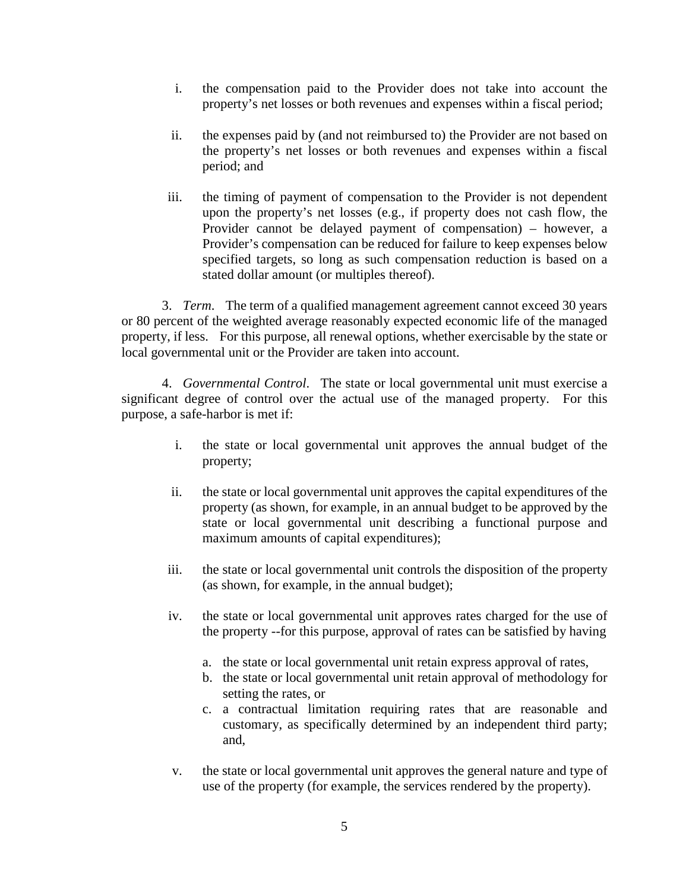- i. the compensation paid to the Provider does not take into account the property's net losses or both revenues and expenses within a fiscal period;
- ii. the expenses paid by (and not reimbursed to) the Provider are not based on the property's net losses or both revenues and expenses within a fiscal period; and
- iii. the timing of payment of compensation to the Provider is not dependent upon the property's net losses (e.g., if property does not cash flow, the Provider cannot be delayed payment of compensation) – however, a Provider's compensation can be reduced for failure to keep expenses below specified targets, so long as such compensation reduction is based on a stated dollar amount (or multiples thereof).

3. *Term*. The term of a qualified management agreement cannot exceed 30 years or 80 percent of the weighted average reasonably expected economic life of the managed property, if less. For this purpose, all renewal options, whether exercisable by the state or local governmental unit or the Provider are taken into account.

4. *Governmental Control*. The state or local governmental unit must exercise a significant degree of control over the actual use of the managed property. For this purpose, a safe-harbor is met if:

- i. the state or local governmental unit approves the annual budget of the property;
- ii. the state or local governmental unit approves the capital expenditures of the property (as shown, for example, in an annual budget to be approved by the state or local governmental unit describing a functional purpose and maximum amounts of capital expenditures);
- iii. the state or local governmental unit controls the disposition of the property (as shown, for example, in the annual budget);
- iv. the state or local governmental unit approves rates charged for the use of the property --for this purpose, approval of rates can be satisfied by having
	- a. the state or local governmental unit retain express approval of rates,
	- b. the state or local governmental unit retain approval of methodology for setting the rates, or
	- c. a contractual limitation requiring rates that are reasonable and customary, as specifically determined by an independent third party; and,
- v. the state or local governmental unit approves the general nature and type of use of the property (for example, the services rendered by the property).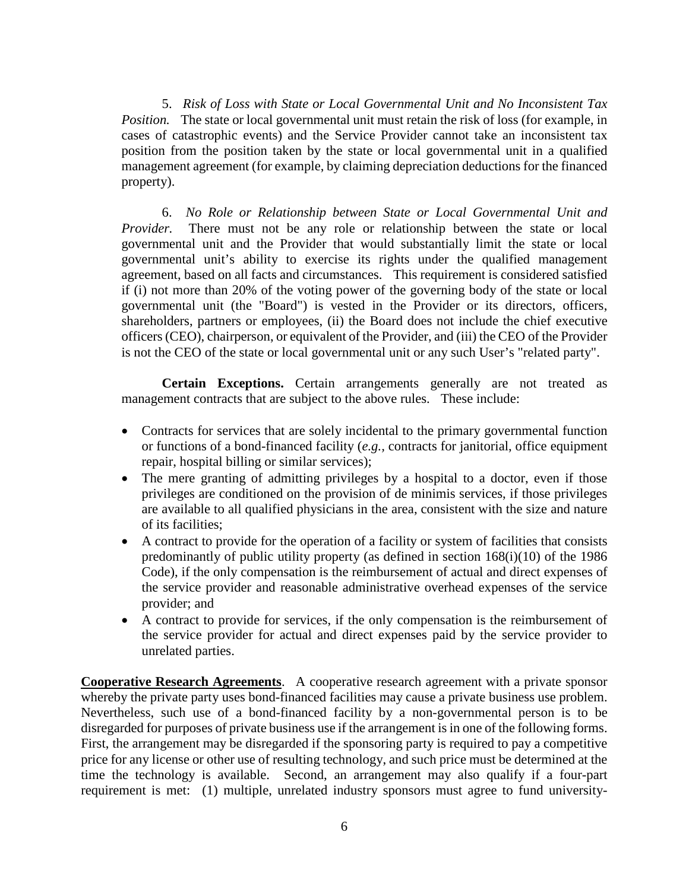5. *Risk of Loss with State or Local Governmental Unit and No Inconsistent Tax Position.* The state or local governmental unit must retain the risk of loss (for example, in cases of catastrophic events) and the Service Provider cannot take an inconsistent tax position from the position taken by the state or local governmental unit in a qualified management agreement (for example, by claiming depreciation deductions for the financed property).

6. *No Role or Relationship between State or Local Governmental Unit and Provider.* There must not be any role or relationship between the state or local governmental unit and the Provider that would substantially limit the state or local governmental unit's ability to exercise its rights under the qualified management agreement, based on all facts and circumstances. This requirement is considered satisfied if (i) not more than 20% of the voting power of the governing body of the state or local governmental unit (the "Board") is vested in the Provider or its directors, officers, shareholders, partners or employees, (ii) the Board does not include the chief executive officers (CEO), chairperson, or equivalent of the Provider, and (iii) the CEO of the Provider is not the CEO of the state or local governmental unit or any such User's "related party".

**Certain Exceptions.** Certain arrangements generally are not treated as management contracts that are subject to the above rules. These include:

- Contracts for services that are solely incidental to the primary governmental function or functions of a bond-financed facility (*e.g.,* contracts for janitorial, office equipment repair, hospital billing or similar services);
- The mere granting of admitting privileges by a hospital to a doctor, even if those privileges are conditioned on the provision of de minimis services, if those privileges are available to all qualified physicians in the area, consistent with the size and nature of its facilities;
- A contract to provide for the operation of a facility or system of facilities that consists predominantly of public utility property (as defined in section 168(i)(10) of the 1986 Code), if the only compensation is the reimbursement of actual and direct expenses of the service provider and reasonable administrative overhead expenses of the service provider; and
- A contract to provide for services, if the only compensation is the reimbursement of the service provider for actual and direct expenses paid by the service provider to unrelated parties.

**Cooperative Research Agreements**. A cooperative research agreement with a private sponsor whereby the private party uses bond-financed facilities may cause a private business use problem. Nevertheless, such use of a bond-financed facility by a non-governmental person is to be disregarded for purposes of private business use if the arrangement is in one of the following forms. First, the arrangement may be disregarded if the sponsoring party is required to pay a competitive price for any license or other use of resulting technology, and such price must be determined at the time the technology is available. Second, an arrangement may also qualify if a four-part requirement is met: (1) multiple, unrelated industry sponsors must agree to fund university-